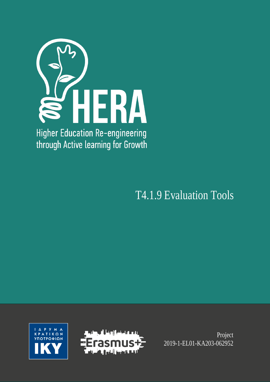

T4.1.9 Evaluation Tools





Project 2019-1-EL01-KA203-062952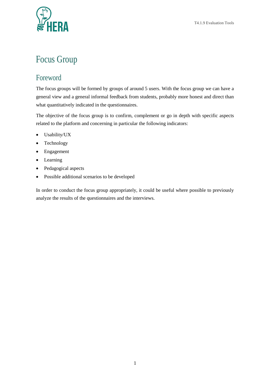

## Focus Group

## Foreword

The focus groups will be formed by groups of around 5 users. With the focus group we can have a general view and a general informal feedback from students, probably more honest and direct than what quantitatively indicated in the questionnaires.

The objective of the focus group is to confirm, complement or go in depth with specific aspects related to the platform and concerning in particular the following indicators:

- Usability/UX
- Technology
- Engagement
- Learning
- Pedagogical aspects
- Possible additional scenarios to be developed

In order to conduct the focus group appropriately, it could be useful where possible to previously analyze the results of the questionnaires and the interviews.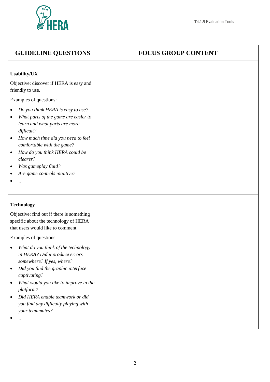

| <b>GUIDELINE QUESTIONS</b>                                                                                                                                                                                                                                                                                                                                                                                                                            | <b>FOCUS GROUP CONTENT</b> |
|-------------------------------------------------------------------------------------------------------------------------------------------------------------------------------------------------------------------------------------------------------------------------------------------------------------------------------------------------------------------------------------------------------------------------------------------------------|----------------------------|
| <b>Usability/UX</b><br>Objective: discover if HERA is easy and<br>friendly to use.<br>Examples of questions:<br>Do you think HERA is easy to use?<br>٠<br>What parts of the game are easier to<br>$\bullet$<br>learn and what parts are more<br>difficult?<br>How much time did you need to feel<br>٠<br>comfortable with the game?<br>How do you think HERA could be<br>$\bullet$<br>clearer?<br>Was gameplay fluid?<br>Are game controls intuitive? |                            |
| <b>Technology</b>                                                                                                                                                                                                                                                                                                                                                                                                                                     |                            |
| Objective: find out if there is something<br>specific about the technology of HERA<br>that users would like to comment.                                                                                                                                                                                                                                                                                                                               |                            |
| Examples of questions:                                                                                                                                                                                                                                                                                                                                                                                                                                |                            |
| What do you think of the technology<br>in HERA? Did it produce errors<br>somewhere? If yes, where?                                                                                                                                                                                                                                                                                                                                                    |                            |
| Did you find the graphic interface<br>$\bullet$<br>captivating?                                                                                                                                                                                                                                                                                                                                                                                       |                            |
| What would you like to improve in the<br>platform?                                                                                                                                                                                                                                                                                                                                                                                                    |                            |
| Did HERA enable teamwork or did<br>you find any difficulty playing with<br>your teammates?                                                                                                                                                                                                                                                                                                                                                            |                            |
| $\cdots$                                                                                                                                                                                                                                                                                                                                                                                                                                              |                            |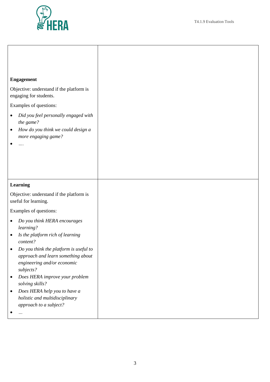

|           | <b>Engagement</b>                                                 |
|-----------|-------------------------------------------------------------------|
|           | Objective: understand if the platform is                          |
|           | engaging for students.                                            |
|           | Examples of questions:                                            |
| $\bullet$ | Did you feel personally engaged with                              |
| $\bullet$ | the game?<br>How do you think we could design a                   |
|           | more engaging game?                                               |
| $\bullet$ | .                                                                 |
|           |                                                                   |
|           |                                                                   |
|           |                                                                   |
|           | <b>Learning</b>                                                   |
|           | Objective: understand if the platform is<br>useful for learning.  |
|           | Examples of questions:                                            |
| ٠         | Do you think HERA encourages                                      |
|           | learning?                                                         |
| $\bullet$ | Is the platform rich of learning<br>content?                      |
|           | Do you think the platform is useful to                            |
|           | approach and learn something about<br>engineering and/or economic |
|           | subjects?                                                         |
| $\bullet$ | Does HERA improve your problem                                    |
| $\bullet$ | solving skills?<br>Does HERA help you to have a                   |
|           | holistic and multidisciplinary                                    |
|           | approach to a subject?                                            |
|           | $\ldots$                                                          |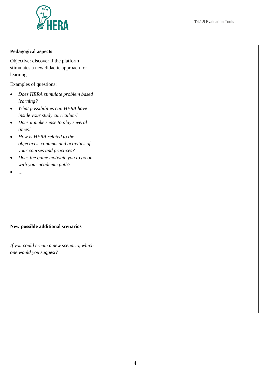

| <b>Pedagogical aspects</b>                                                                                                                                                                                                                                                                                                                                                                                         |  |
|--------------------------------------------------------------------------------------------------------------------------------------------------------------------------------------------------------------------------------------------------------------------------------------------------------------------------------------------------------------------------------------------------------------------|--|
| Objective: discover if the platform<br>stimulates a new didactic approach for<br>learning.                                                                                                                                                                                                                                                                                                                         |  |
| Examples of questions:                                                                                                                                                                                                                                                                                                                                                                                             |  |
| Does HERA stimulate problem based<br>$\bullet$<br>learning?<br>What possibilities can HERA have<br>٠<br>inside your study curriculum?<br>Does it make sense to play several<br>$\bullet$<br>times?<br>How is HERA related to the<br>$\bullet$<br>objectives, contents and activities of<br>your courses and practices?<br>Does the game motivate you to go on<br>$\bullet$<br>with your academic path?<br>$\cdots$ |  |
| New possible additional scenarios<br>If you could create a new scenario, which<br>one would you suggest?                                                                                                                                                                                                                                                                                                           |  |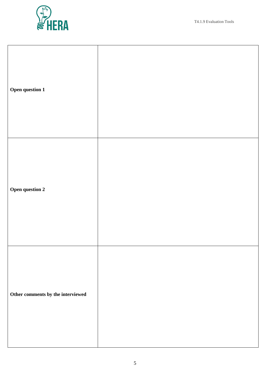

| Open question 1                   |  |
|-----------------------------------|--|
| Open question 2                   |  |
| Other comments by the interviewed |  |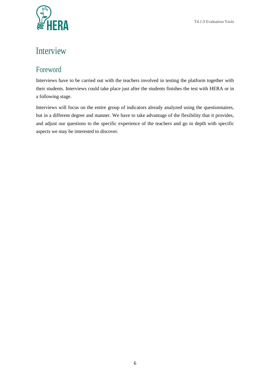

## Interview

## Foreword

Interviews have to be carried out with the teachers involved in testing the platform together with their students. Interviews could take place just after the students finishes the test with HERA or in a following stage.

Interviews will focus on the entire group of indicators already analyzed using the questionnaires, but in a different degree and manner. We have to take advantage of the flexibility that it provides, and adjust our questions to the specific experience of the teachers and go in depth with specific aspects we may be interested to discover.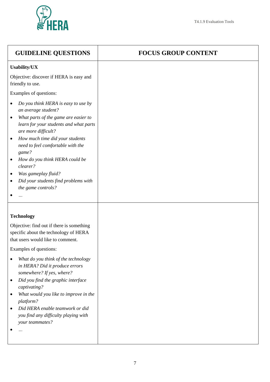

| <b>FOCUS GROUP CONTENT</b> |
|----------------------------|
|                            |
|                            |
|                            |
|                            |
|                            |
|                            |
|                            |
|                            |
|                            |
|                            |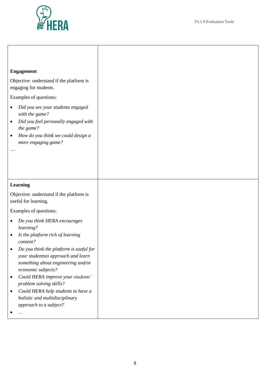

П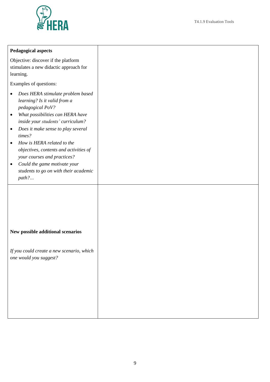

| <b>Pedagogical aspects</b>                                                                                                                                                                                                                                                                                                                                                                                                                                       |  |
|------------------------------------------------------------------------------------------------------------------------------------------------------------------------------------------------------------------------------------------------------------------------------------------------------------------------------------------------------------------------------------------------------------------------------------------------------------------|--|
| Objective: discover if the platform<br>stimulates a new didactic approach for<br>learning.                                                                                                                                                                                                                                                                                                                                                                       |  |
| Examples of questions:                                                                                                                                                                                                                                                                                                                                                                                                                                           |  |
| Does HERA stimulate problem based<br>٠<br>learning? Is it valid from a<br>pedagogical PoV?<br>What possibilities can HERA have<br>$\bullet$<br>inside your students' curriculum?<br>Does it make sense to play several<br>$\bullet$<br>times?<br>How is HERA related to the<br>$\bullet$<br>objectives, contents and activities of<br>your courses and practices?<br>Could the game motivate your<br>$\bullet$<br>students to go on with their academic<br>path? |  |
| New possible additional scenarios<br>If you could create a new scenario, which<br>one would you suggest?                                                                                                                                                                                                                                                                                                                                                         |  |